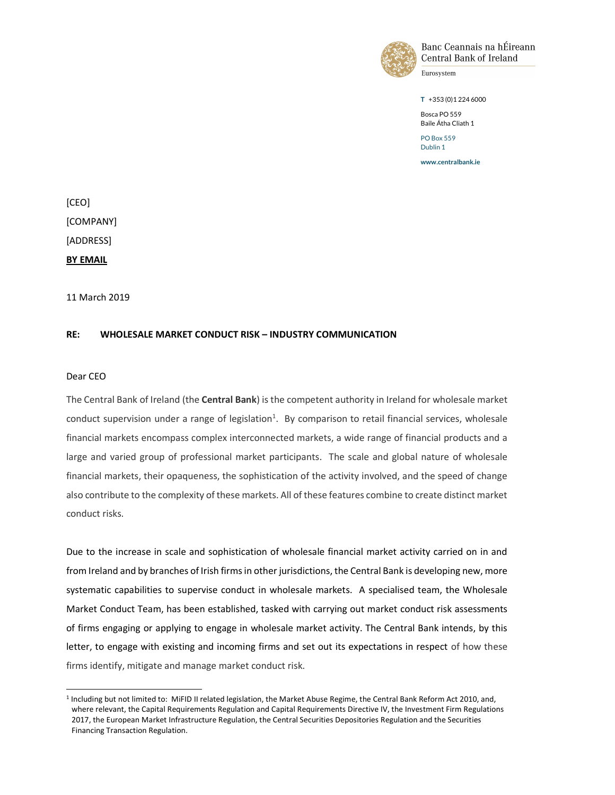

Banc Ceannais na hÉireann Central Bank of Ireland

Eurosystem

T +353 (0)1 224 6000

Bosca PO 559 Baile Átha Cliath 1

PO Box 559 Dublin 1

www.centralbank.ie

[CEO] [COMPANY] [ADDRESS] BY EMAIL

11 March 2019

#### RE: WHOLESALE MARKET CONDUCT RISK – INDUSTRY COMMUNICATION

#### Dear CEO

 $\overline{a}$ 

The Central Bank of Ireland (the Central Bank) is the competent authority in Ireland for wholesale market conduct supervision under a range of legislation<sup>1</sup>. By comparison to retail financial services, wholesale financial markets encompass complex interconnected markets, a wide range of financial products and a large and varied group of professional market participants. The scale and global nature of wholesale financial markets, their opaqueness, the sophistication of the activity involved, and the speed of change also contribute to the complexity of these markets. All of these features combine to create distinct market conduct risks.

Due to the increase in scale and sophistication of wholesale financial market activity carried on in and from Ireland and by branches of Irish firms in other jurisdictions, the Central Bank is developing new, more systematic capabilities to supervise conduct in wholesale markets. A specialised team, the Wholesale Market Conduct Team, has been established, tasked with carrying out market conduct risk assessments of firms engaging or applying to engage in wholesale market activity. The Central Bank intends, by this letter, to engage with existing and incoming firms and set out its expectations in respect of how these firms identify, mitigate and manage market conduct risk.

<sup>&</sup>lt;sup>1</sup> Including but not limited to: MiFID II related legislation, the Market Abuse Regime, the Central Bank Reform Act 2010, and, where relevant, the Capital Requirements Regulation and Capital Requirements Directive IV, the Investment Firm Regulations 2017, the European Market Infrastructure Regulation, the Central Securities Depositories Regulation and the Securities Financing Transaction Regulation.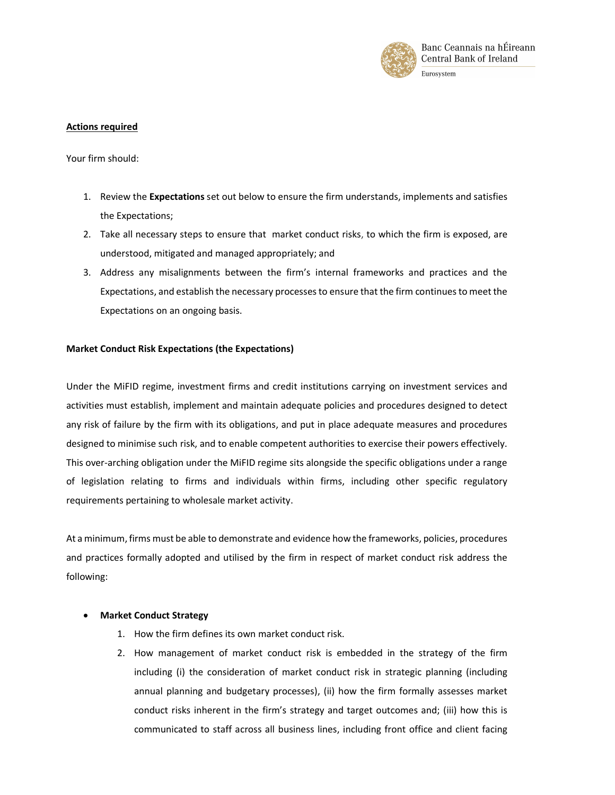

# Actions required

Your firm should:

- 1. Review the Expectations set out below to ensure the firm understands, implements and satisfies the Expectations;
- 2. Take all necessary steps to ensure that market conduct risks, to which the firm is exposed, are understood, mitigated and managed appropriately; and
- 3. Address any misalignments between the firm's internal frameworks and practices and the Expectations, and establish the necessary processes to ensure that the firm continues to meet the Expectations on an ongoing basis.

## Market Conduct Risk Expectations (the Expectations)

Under the MiFID regime, investment firms and credit institutions carrying on investment services and activities must establish, implement and maintain adequate policies and procedures designed to detect any risk of failure by the firm with its obligations, and put in place adequate measures and procedures designed to minimise such risk, and to enable competent authorities to exercise their powers effectively. This over-arching obligation under the MiFID regime sits alongside the specific obligations under a range of legislation relating to firms and individuals within firms, including other specific regulatory requirements pertaining to wholesale market activity.

At a minimum, firms must be able to demonstrate and evidence how the frameworks, policies, procedures and practices formally adopted and utilised by the firm in respect of market conduct risk address the following:

## Market Conduct Strategy

- 1. How the firm defines its own market conduct risk.
- 2. How management of market conduct risk is embedded in the strategy of the firm including (i) the consideration of market conduct risk in strategic planning (including annual planning and budgetary processes), (ii) how the firm formally assesses market conduct risks inherent in the firm's strategy and target outcomes and; (iii) how this is communicated to staff across all business lines, including front office and client facing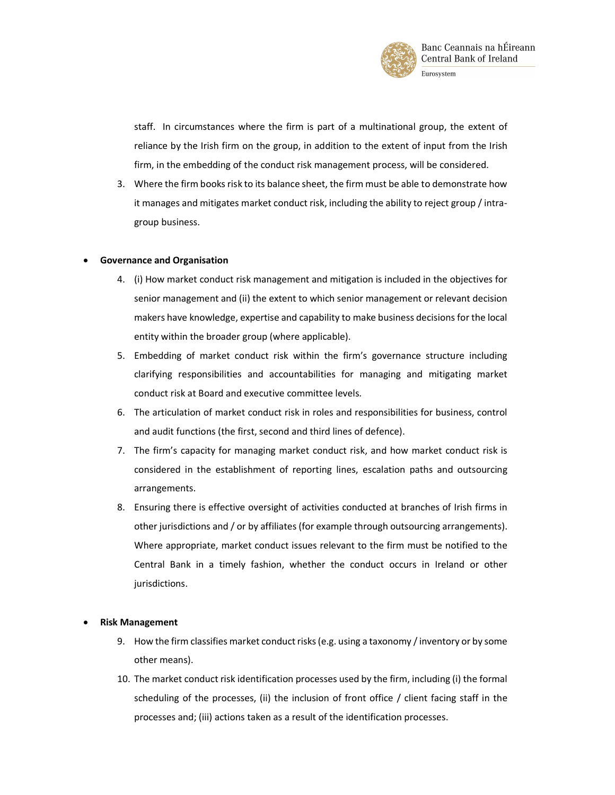

staff. In circumstances where the firm is part of a multinational group, the extent of reliance by the Irish firm on the group, in addition to the extent of input from the Irish firm, in the embedding of the conduct risk management process, will be considered.

3. Where the firm books risk to its balance sheet, the firm must be able to demonstrate how it manages and mitigates market conduct risk, including the ability to reject group / intragroup business.

## Governance and Organisation

- 4. (i) How market conduct risk management and mitigation is included in the objectives for senior management and (ii) the extent to which senior management or relevant decision makers have knowledge, expertise and capability to make business decisions for the local entity within the broader group (where applicable).
- 5. Embedding of market conduct risk within the firm's governance structure including clarifying responsibilities and accountabilities for managing and mitigating market conduct risk at Board and executive committee levels.
- 6. The articulation of market conduct risk in roles and responsibilities for business, control and audit functions (the first, second and third lines of defence).
- 7. The firm's capacity for managing market conduct risk, and how market conduct risk is considered in the establishment of reporting lines, escalation paths and outsourcing arrangements.
- 8. Ensuring there is effective oversight of activities conducted at branches of Irish firms in other jurisdictions and / or by affiliates (for example through outsourcing arrangements). Where appropriate, market conduct issues relevant to the firm must be notified to the Central Bank in a timely fashion, whether the conduct occurs in Ireland or other jurisdictions.

## Risk Management

- 9. How the firm classifies market conduct risks (e.g. using a taxonomy / inventory or by some other means).
- 10. The market conduct risk identification processes used by the firm, including (i) the formal scheduling of the processes, (ii) the inclusion of front office / client facing staff in the processes and; (iii) actions taken as a result of the identification processes.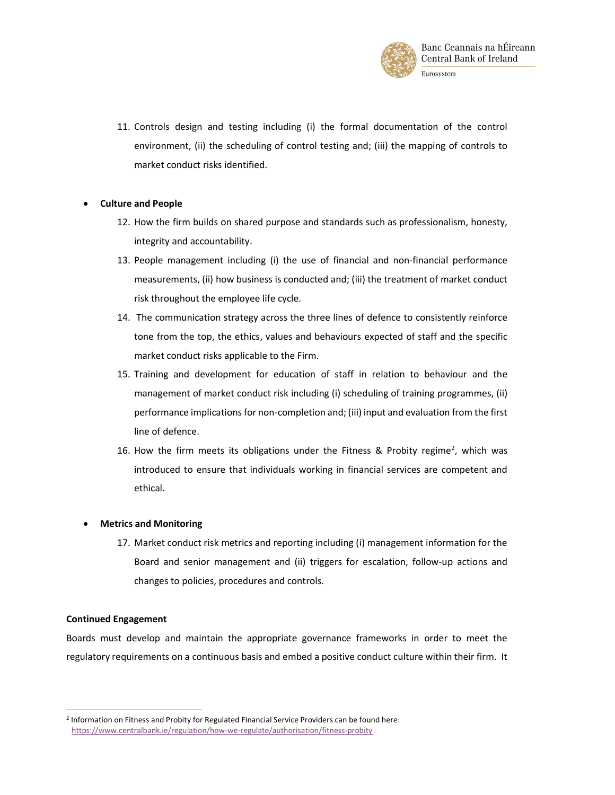

11. Controls design and testing including (i) the formal documentation of the control environment, (ii) the scheduling of control testing and; (iii) the mapping of controls to market conduct risks identified.

#### Culture and People

- 12. How the firm builds on shared purpose and standards such as professionalism, honesty, integrity and accountability.
- 13. People management including (i) the use of financial and non-financial performance measurements, (ii) how business is conducted and; (iii) the treatment of market conduct risk throughout the employee life cycle.
- 14. The communication strategy across the three lines of defence to consistently reinforce tone from the top, the ethics, values and behaviours expected of staff and the specific market conduct risks applicable to the Firm.
- 15. Training and development for education of staff in relation to behaviour and the management of market conduct risk including (i) scheduling of training programmes, (ii) performance implications for non-completion and; (iii) input and evaluation from the first line of defence.
- 16. How the firm meets its obligations under the Fitness & Probity regime<sup>2</sup>, which was introduced to ensure that individuals working in financial services are competent and ethical.

## Metrics and Monitoring

17. Market conduct risk metrics and reporting including (i) management information for the Board and senior management and (ii) triggers for escalation, follow-up actions and changes to policies, procedures and controls.

#### Continued Engagement

 $\overline{a}$ 

Boards must develop and maintain the appropriate governance frameworks in order to meet the regulatory requirements on a continuous basis and embed a positive conduct culture within their firm. It

<sup>&</sup>lt;sup>2</sup> Information on Fitness and Probity for Regulated Financial Service Providers can be found here: https://www.centralbank.ie/regulation/how-we-regulate/authorisation/fitness-probity